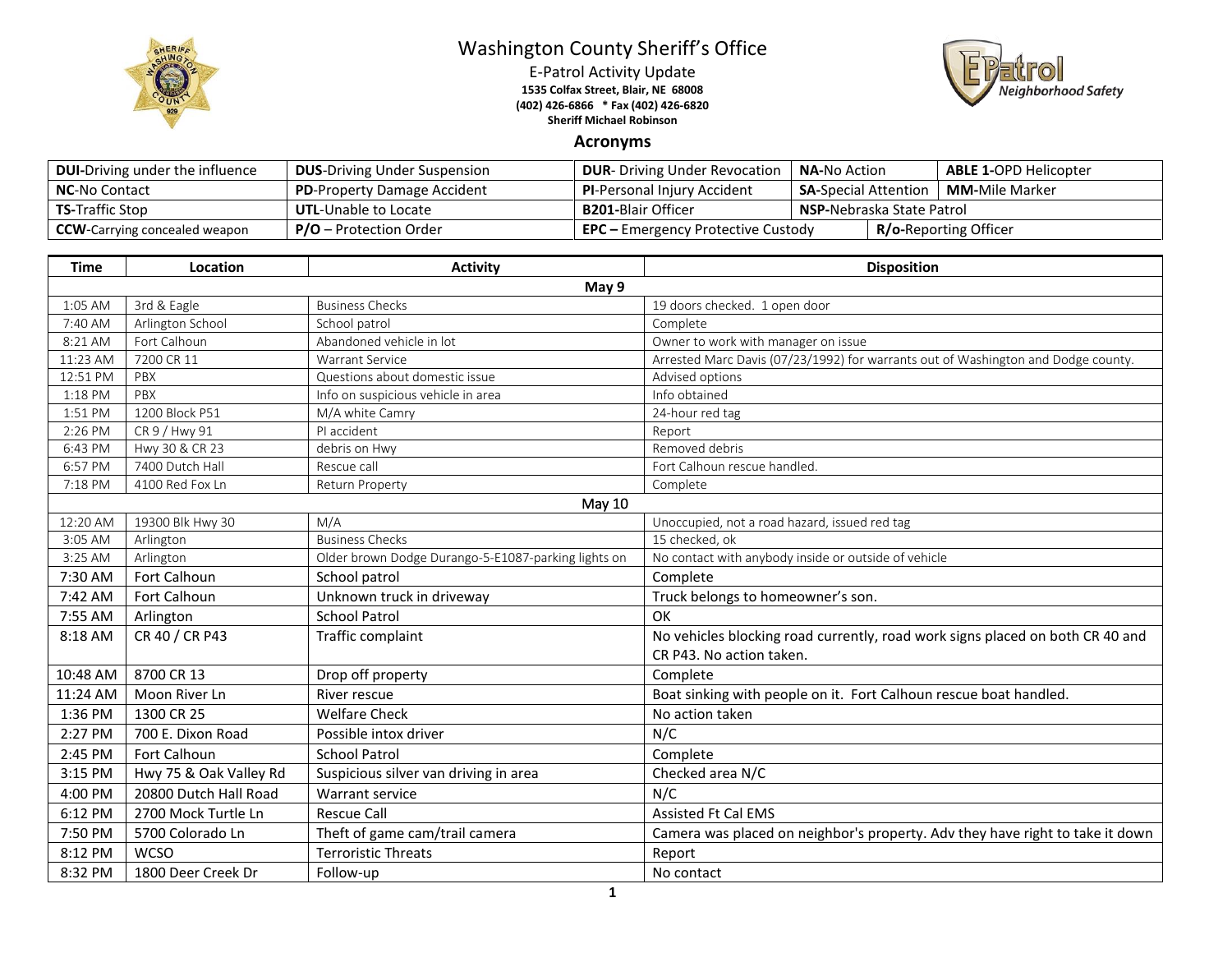

## Washington County Sheriff's Office

E-Patrol Activity Update **1535 Colfax Street, Blair, NE 68008 (402) 426-6866 \* Fax (402) 426-6820 Sheriff Michael Robinson**



## **Acronyms**

| <b>DUI-Driving under the influence</b> | <b>DUS-Driving Under Suspension</b> | <b>DUR-</b> Driving Under Revocation      | <b>NA-No Action</b>                                   |  | <b>ABLE 1-OPD Helicopter</b> |
|----------------------------------------|-------------------------------------|-------------------------------------------|-------------------------------------------------------|--|------------------------------|
| <b>NC-No Contact</b>                   | <b>PD-Property Damage Accident</b>  | <b>PI-Personal Injury Accident</b>        | <b>MM-</b> Mile Marker<br><b>SA-Special Attention</b> |  |                              |
| <b>TS-Traffic Stop</b>                 | <b>UTL-Unable to Locate</b>         | <b>B201-Blair Officer</b>                 | <b>NSP-Nebraska State Patrol</b>                      |  |                              |
| <b>CCW</b> -Carrying concealed weapon  | $P/O -$ Protection Order            | <b>EPC</b> – Emergency Protective Custody |                                                       |  | <b>R/o-Reporting Officer</b> |

| <b>Time</b> | Location               | <b>Activity</b>                                     | <b>Disposition</b>                                                                                        |  |  |  |
|-------------|------------------------|-----------------------------------------------------|-----------------------------------------------------------------------------------------------------------|--|--|--|
|             | May 9                  |                                                     |                                                                                                           |  |  |  |
| 1:05 AM     | 3rd & Eagle            | <b>Business Checks</b>                              | 19 doors checked. 1 open door                                                                             |  |  |  |
| 7:40 AM     | Arlington School       | School patrol                                       | Complete                                                                                                  |  |  |  |
| 8:21 AM     | Fort Calhoun           | Abandoned vehicle in lot                            | Owner to work with manager on issue                                                                       |  |  |  |
| 11:23 AM    | 7200 CR 11             | Warrant Service                                     | Arrested Marc Davis (07/23/1992) for warrants out of Washington and Dodge county.                         |  |  |  |
| 12:51 PM    | PBX                    | Questions about domestic issue                      | Advised options                                                                                           |  |  |  |
| 1:18 PM     | PBX                    | Info on suspicious vehicle in area                  | Info obtained                                                                                             |  |  |  |
| 1:51 PM     | 1200 Block P51         | M/A white Camry                                     | 24-hour red tag                                                                                           |  |  |  |
| 2:26 PM     | CR 9 / Hwy 91          | PI accident                                         | Report                                                                                                    |  |  |  |
| 6:43 PM     | Hwy 30 & CR 23         | debris on Hwy                                       | Removed debris                                                                                            |  |  |  |
| 6:57 PM     | 7400 Dutch Hall        | Rescue call                                         | Fort Calhoun rescue handled.                                                                              |  |  |  |
| 7:18 PM     | 4100 Red Fox Ln        | Return Property                                     | Complete                                                                                                  |  |  |  |
|             |                        | May 10                                              |                                                                                                           |  |  |  |
| 12:20 AM    | 19300 Blk Hwy 30       | M/A                                                 | Unoccupied, not a road hazard, issued red tag                                                             |  |  |  |
| 3:05 AM     | Arlington              | <b>Business Checks</b>                              | 15 checked, ok                                                                                            |  |  |  |
| 3:25 AM     | Arlington              | Older brown Dodge Durango-5-E1087-parking lights on | No contact with anybody inside or outside of vehicle                                                      |  |  |  |
| 7:30 AM     | Fort Calhoun           | School patrol                                       | Complete                                                                                                  |  |  |  |
| 7:42 AM     | Fort Calhoun           | Unknown truck in driveway                           | Truck belongs to homeowner's son.                                                                         |  |  |  |
| 7:55 AM     | Arlington              | <b>School Patrol</b>                                | OK                                                                                                        |  |  |  |
| 8:18 AM     | CR 40 / CR P43         | Traffic complaint                                   | No vehicles blocking road currently, road work signs placed on both CR 40 and<br>CR P43. No action taken. |  |  |  |
| 10:48 AM    | 8700 CR 13             | Drop off property                                   | Complete                                                                                                  |  |  |  |
|             | Moon River Ln          | River rescue                                        |                                                                                                           |  |  |  |
| 11:24 AM    |                        |                                                     | Boat sinking with people on it. Fort Calhoun rescue boat handled.                                         |  |  |  |
| 1:36 PM     | 1300 CR 25             | <b>Welfare Check</b>                                | No action taken                                                                                           |  |  |  |
| 2:27 PM     | 700 E. Dixon Road      | Possible intox driver                               | N/C                                                                                                       |  |  |  |
| 2:45 PM     | <b>Fort Calhoun</b>    | <b>School Patrol</b>                                | Complete                                                                                                  |  |  |  |
| 3:15 PM     | Hwy 75 & Oak Valley Rd | Suspicious silver van driving in area               | Checked area N/C                                                                                          |  |  |  |
| 4:00 PM     | 20800 Dutch Hall Road  | Warrant service                                     | N/C                                                                                                       |  |  |  |
| 6:12 PM     | 2700 Mock Turtle Ln    | <b>Rescue Call</b>                                  | <b>Assisted Ft Cal EMS</b>                                                                                |  |  |  |
| 7:50 PM     | 5700 Colorado Ln       | Theft of game cam/trail camera                      | Camera was placed on neighbor's property. Adv they have right to take it down                             |  |  |  |
| 8:12 PM     | <b>WCSO</b>            | <b>Terroristic Threats</b>                          | Report                                                                                                    |  |  |  |
| 8:32 PM     | 1800 Deer Creek Dr     | Follow-up                                           | No contact                                                                                                |  |  |  |